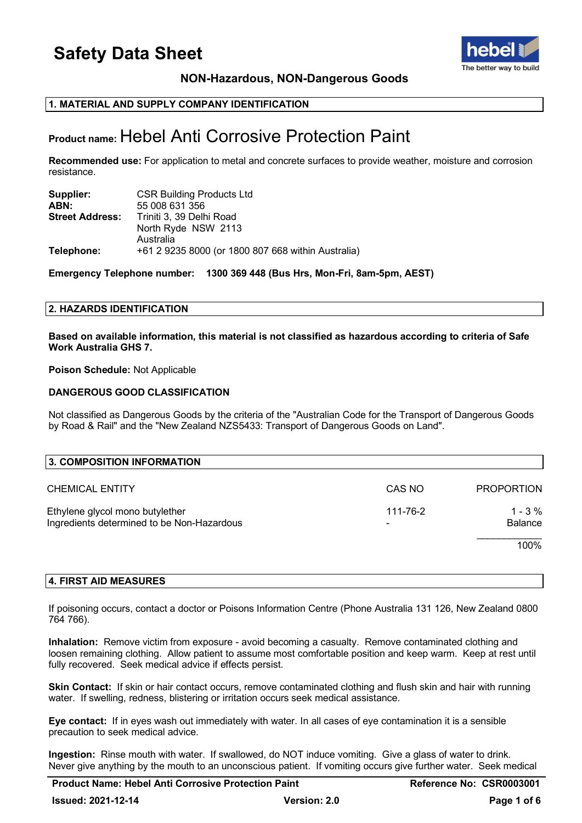

**NON-Hazardous, NON-Dangerous Goods**

### **1. MATERIAL AND SUPPLY COMPANY IDENTIFICATION**

## **Product name:** Hebel Anti Corrosive Protection Paint

**Recommended use:** For application to metal and concrete surfaces to provide weather, moisture and corrosion resistance.

| Supplier:              | <b>CSR Building Products Ltd</b>                   |
|------------------------|----------------------------------------------------|
| ABN:                   | 55 008 631 356                                     |
| <b>Street Address:</b> | Triniti 3, 39 Delhi Road                           |
|                        | North Ryde NSW 2113                                |
|                        | Australia                                          |
| Telephone:             | +61 2 9235 8000 (or 1800 807 668 within Australia) |

**Emergency Telephone number: 1300 369 448 (Bus Hrs, Mon-Fri, 8am-5pm, AEST)**

#### **2. HAZARDS IDENTIFICATION**

**Based on available information, this material is not classified as hazardous according to criteria of Safe Work Australia GHS 7.**

**Poison Schedule:** Not Applicable

#### **DANGEROUS GOOD CLASSIFICATION**

Not classified as Dangerous Goods by the criteria of the "Australian Code for the Transport of Dangerous Goods by Road & Rail" and the "New Zealand NZS5433: Transport of Dangerous Goods on Land".

| 3. COMPOSITION INFORMATION                                                    |          |                       |
|-------------------------------------------------------------------------------|----------|-----------------------|
| <b>CHEMICAL ENTITY</b>                                                        | CAS NO   | <b>PROPORTION</b>     |
| Ethylene glycol mono butylether<br>Ingredients determined to be Non-Hazardous | 111-76-2 | $1 - 3 \%$<br>Balance |
|                                                                               |          | 100%                  |

#### **4. FIRST AID MEASURES**

If poisoning occurs, contact a doctor or Poisons Information Centre (Phone Australia 131 126, New Zealand 0800 764 766).

**Inhalation:** Remove victim from exposure - avoid becoming a casualty. Remove contaminated clothing and loosen remaining clothing. Allow patient to assume most comfortable position and keep warm. Keep at rest until fully recovered. Seek medical advice if effects persist.

**Skin Contact:** If skin or hair contact occurs, remove contaminated clothing and flush skin and hair with running water. If swelling, redness, blistering or irritation occurs seek medical assistance.

**Eye contact:** If in eyes wash out immediately with water. In all cases of eye contamination it is a sensible precaution to seek medical advice.

**Ingestion:** Rinse mouth with water. If swallowed, do NOT induce vomiting. Give a glass of water to drink. Never give anything by the mouth to an unconscious patient. If vomiting occurs give further water. Seek medical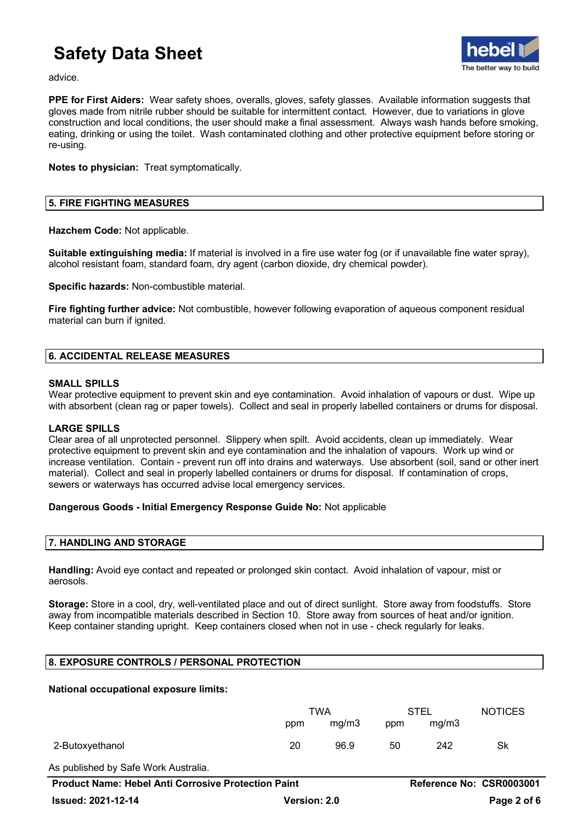

advice.

**PPE for First Aiders:** Wear safety shoes, overalls, gloves, safety glasses. Available information suggests that gloves made from nitrile rubber should be suitable for intermittent contact. However, due to variations in glove construction and local conditions, the user should make a final assessment. Always wash hands before smoking, eating, drinking or using the toilet. Wash contaminated clothing and other protective equipment before storing or re-using.

**Notes to physician:** Treat symptomatically.

## **5. FIRE FIGHTING MEASURES**

**Hazchem Code:** Not applicable.

**Suitable extinguishing media:** If material is involved in a fire use water fog (or if unavailable fine water spray), alcohol resistant foam, standard foam, dry agent (carbon dioxide, dry chemical powder).

**Specific hazards:** Non-combustible material.

**Fire fighting further advice:** Not combustible, however following evaporation of aqueous component residual material can burn if ignited.

## **6. ACCIDENTAL RELEASE MEASURES**

### **SMALL SPILLS**

Wear protective equipment to prevent skin and eye contamination. Avoid inhalation of vapours or dust. Wipe up with absorbent (clean rag or paper towels). Collect and seal in properly labelled containers or drums for disposal.

#### **LARGE SPILLS**

Clear area of all unprotected personnel. Slippery when spilt. Avoid accidents, clean up immediately. Wear protective equipment to prevent skin and eye contamination and the inhalation of vapours. Work up wind or increase ventilation. Contain - prevent run off into drains and waterways. Use absorbent (soil, sand or other inert material). Collect and seal in properly labelled containers or drums for disposal. If contamination of crops, sewers or waterways has occurred advise local emergency services.

## **Dangerous Goods - Initial Emergency Response Guide No:** Not applicable

#### **7. HANDLING AND STORAGE**

**Handling:** Avoid eye contact and repeated or prolonged skin contact. Avoid inhalation of vapour, mist or aerosols.

**Storage:** Store in a cool, dry, well-ventilated place and out of direct sunlight. Store away from foodstuffs. Store away from incompatible materials described in Section 10. Store away from sources of heat and/or ignition. Keep container standing upright. Keep containers closed when not in use - check regularly for leaks.

## **8. EXPOSURE CONTROLS / PERSONAL PROTECTION**

#### **National occupational exposure limits:**

|                                                            | TWA                 |       | <b>STEL</b> |       | <b>NOTICES</b>           |  |
|------------------------------------------------------------|---------------------|-------|-------------|-------|--------------------------|--|
|                                                            | ppm                 | mq/m3 | ppm         | mg/m3 |                          |  |
| 2-Butoxyethanol                                            | 20                  | 96.9  | 50          | 242   | Sk                       |  |
| As published by Safe Work Australia.                       |                     |       |             |       |                          |  |
| <b>Product Name: Hebel Anti Corrosive Protection Paint</b> |                     |       |             |       | Reference No: CSR0003001 |  |
| <b>Issued: 2021-12-14</b>                                  | <b>Version: 2.0</b> |       |             |       | Page 2 of 6              |  |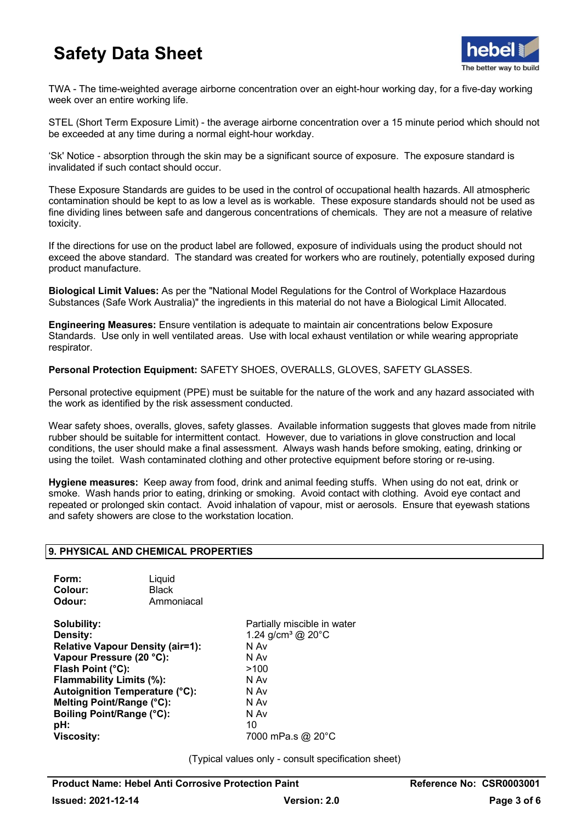

TWA - The time-weighted average airborne concentration over an eight-hour working day, for a five-day working week over an entire working life.

STEL (Short Term Exposure Limit) - the average airborne concentration over a 15 minute period which should not be exceeded at any time during a normal eight-hour workday.

'Sk' Notice - absorption through the skin may be a significant source of exposure. The exposure standard is invalidated if such contact should occur.

These Exposure Standards are guides to be used in the control of occupational health hazards. All atmospheric contamination should be kept to as low a level as is workable. These exposure standards should not be used as fine dividing lines between safe and dangerous concentrations of chemicals. They are not a measure of relative toxicity.

If the directions for use on the product label are followed, exposure of individuals using the product should not exceed the above standard. The standard was created for workers who are routinely, potentially exposed during product manufacture.

**Biological Limit Values:** As per the "National Model Regulations for the Control of Workplace Hazardous Substances (Safe Work Australia)" the ingredients in this material do not have a Biological Limit Allocated.

**Engineering Measures:** Ensure ventilation is adequate to maintain air concentrations below Exposure Standards. Use only in well ventilated areas. Use with local exhaust ventilation or while wearing appropriate respirator.

**Personal Protection Equipment:** SAFETY SHOES, OVERALLS, GLOVES, SAFETY GLASSES.

Personal protective equipment (PPE) must be suitable for the nature of the work and any hazard associated with the work as identified by the risk assessment conducted.

Wear safety shoes, overalls, gloves, safety glasses. Available information suggests that gloves made from nitrile rubber should be suitable for intermittent contact. However, due to variations in glove construction and local conditions, the user should make a final assessment. Always wash hands before smoking, eating, drinking or using the toilet. Wash contaminated clothing and other protective equipment before storing or re-using.

**Hygiene measures:** Keep away from food, drink and animal feeding stuffs. When using do not eat, drink or smoke. Wash hands prior to eating, drinking or smoking. Avoid contact with clothing. Avoid eye contact and repeated or prolonged skin contact. Avoid inhalation of vapour, mist or aerosols. Ensure that eyewash stations and safety showers are close to the workstation location.

## **9. PHYSICAL AND CHEMICAL PROPERTIES**

| Form:   | Liquid       |
|---------|--------------|
| Colour: | <b>Black</b> |
| Odour:  | Ammoniacal   |

**Solubility:**<br> **Density:**<br> **Density:**<br> **Partially miscible in water**<br> **Density:**<br> **Partially miscible in water Relative Vapour Density (air=1):** N Av **Vapour Pressure (20 °C):** N Av **Flash Point (°C):** >100 **Flammability Limits (%):** N Av **N** Av **Autoignition Temperature** (°C): **Autoignition Temperature (°C):** N Av **N Av Autoignition Temperature (°C)**: N Av **Melting Point/Range (°C): Boiling Point/Range (°C):** N Av<br> **pH:** 10 **pH:** 10 **Viscosity:** 7000 mPa.s @ 20°C

1.24 g/cm<sup>3</sup> @ 20°C

(Typical values only - consult specification sheet)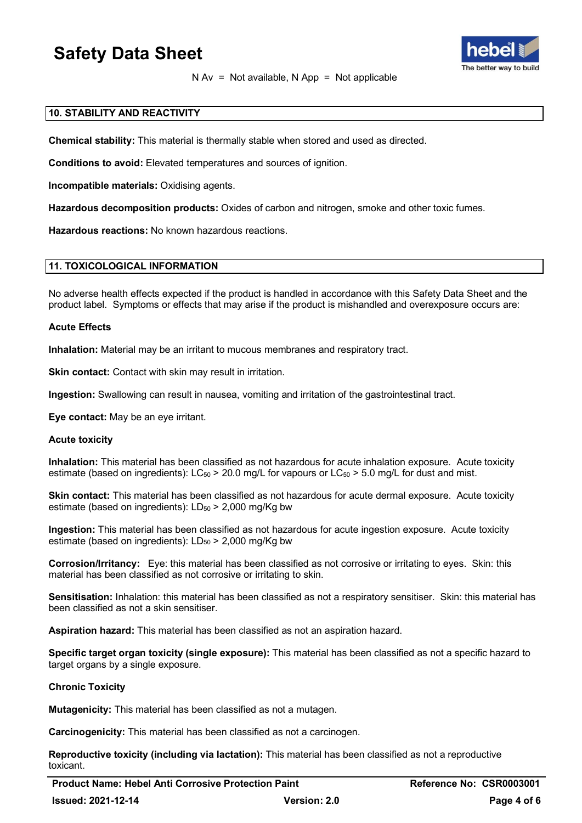

N Av = Not available, N App = Not applicable

## **10. STABILITY AND REACTIVITY**

**Chemical stability:** This material is thermally stable when stored and used as directed.

**Conditions to avoid:** Elevated temperatures and sources of ignition.

**Incompatible materials:** Oxidising agents.

**Hazardous decomposition products:** Oxides of carbon and nitrogen, smoke and other toxic fumes.

**Hazardous reactions:** No known hazardous reactions.

#### **11. TOXICOLOGICAL INFORMATION**

No adverse health effects expected if the product is handled in accordance with this Safety Data Sheet and the product label. Symptoms or effects that may arise if the product is mishandled and overexposure occurs are:

#### **Acute Effects**

**Inhalation:** Material may be an irritant to mucous membranes and respiratory tract.

**Skin contact:** Contact with skin may result in irritation.

**Ingestion:** Swallowing can result in nausea, vomiting and irritation of the gastrointestinal tract.

**Eye contact:** May be an eye irritant.

#### **Acute toxicity**

**Inhalation:** This material has been classified as not hazardous for acute inhalation exposure. Acute toxicity estimate (based on ingredients):  $LC_{50}$  > 20.0 mg/L for vapours or  $LC_{50}$  > 5.0 mg/L for dust and mist.

**Skin contact:** This material has been classified as not hazardous for acute dermal exposure. Acute toxicity estimate (based on ingredients):  $LD_{50}$  > 2,000 mg/Kg bw

**Ingestion:** This material has been classified as not hazardous for acute ingestion exposure. Acute toxicity estimate (based on ingredients):  $LD_{50}$  > 2,000 mg/Kg bw

**Corrosion/Irritancy:** Eye: this material has been classified as not corrosive or irritating to eyes. Skin: this material has been classified as not corrosive or irritating to skin.

**Sensitisation:** Inhalation: this material has been classified as not a respiratory sensitiser. Skin: this material has been classified as not a skin sensitiser.

**Aspiration hazard:** This material has been classified as not an aspiration hazard.

**Specific target organ toxicity (single exposure):** This material has been classified as not a specific hazard to target organs by a single exposure.

#### **Chronic Toxicity**

**Mutagenicity:** This material has been classified as not a mutagen.

**Carcinogenicity:** This material has been classified as not a carcinogen.

**Reproductive toxicity (including via lactation):** This material has been classified as not a reproductive toxicant.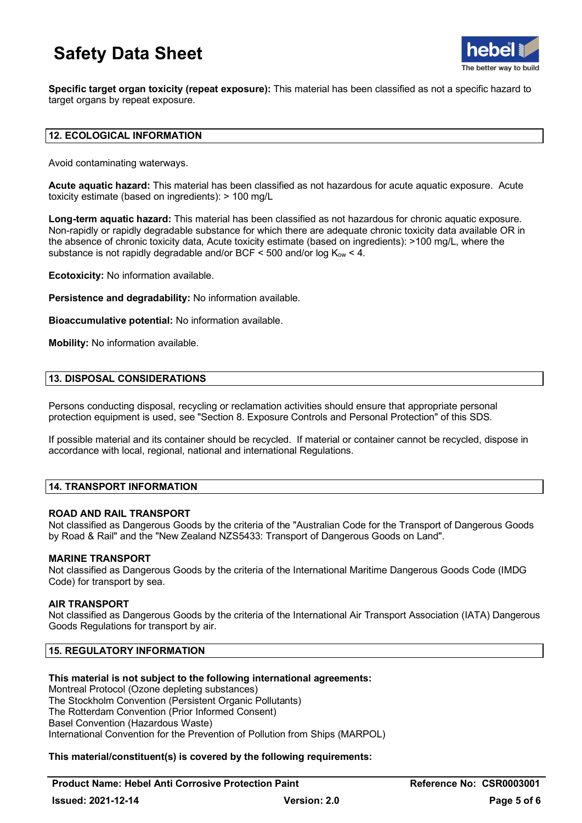

**Specific target organ toxicity (repeat exposure):** This material has been classified as not a specific hazard to target organs by repeat exposure.

## **12. ECOLOGICAL INFORMATION**

Avoid contaminating waterways.

**Acute aquatic hazard:** This material has been classified as not hazardous for acute aquatic exposure. Acute toxicity estimate (based on ingredients): > 100 mg/L

**Long-term aquatic hazard:** This material has been classified as not hazardous for chronic aquatic exposure. Non-rapidly or rapidly degradable substance for which there are adequate chronic toxicity data available OR in the absence of chronic toxicity data, Acute toxicity estimate (based on ingredients): >100 mg/L, where the substance is not rapidly degradable and/or BCF  $\leq$  500 and/or log  $K_{\text{ow}}$   $\leq$  4.

**Ecotoxicity:** No information available.

**Persistence and degradability:** No information available.

**Bioaccumulative potential:** No information available.

**Mobility:** No information available.

### **13. DISPOSAL CONSIDERATIONS**

Persons conducting disposal, recycling or reclamation activities should ensure that appropriate personal protection equipment is used, see "Section 8. Exposure Controls and Personal Protection" of this SDS.

If possible material and its container should be recycled. If material or container cannot be recycled, dispose in accordance with local, regional, national and international Regulations.

## **14. TRANSPORT INFORMATION**

#### **ROAD AND RAIL TRANSPORT**

Not classified as Dangerous Goods by the criteria of the "Australian Code for the Transport of Dangerous Goods by Road & Rail" and the "New Zealand NZS5433: Transport of Dangerous Goods on Land".

#### **MARINE TRANSPORT**

Not classified as Dangerous Goods by the criteria of the International Maritime Dangerous Goods Code (IMDG Code) for transport by sea.

#### **AIR TRANSPORT**

Not classified as Dangerous Goods by the criteria of the International Air Transport Association (IATA) Dangerous Goods Regulations for transport by air.

## **15. REGULATORY INFORMATION**

## **This material is not subject to the following international agreements:**

Montreal Protocol (Ozone depleting substances) The Stockholm Convention (Persistent Organic Pollutants) The Rotterdam Convention (Prior Informed Consent) Basel Convention (Hazardous Waste) International Convention for the Prevention of Pollution from Ships (MARPOL)

## **This material/constituent(s) is covered by the following requirements:**